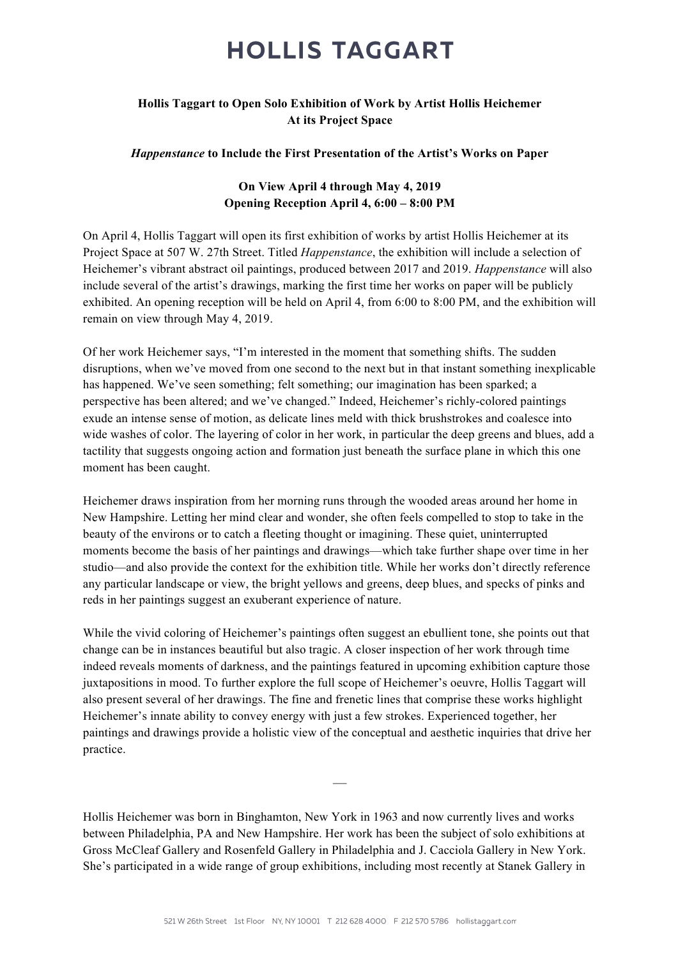# **HOLLIS TAGGART**

### **Hollis Taggart to Open Solo Exhibition of Work by Artist Hollis Heichemer At its Project Space**

### *Happenstance* **to Include the First Presentation of the Artist's Works on Paper**

## **On View April 4 through May 4, 2019 Opening Reception April 4, 6:00 – 8:00 PM**

On April 4, Hollis Taggart will open its first exhibition of works by artist Hollis Heichemer at its Project Space at 507 W. 27th Street. Titled *Happenstance*, the exhibition will include a selection of Heichemer's vibrant abstract oil paintings, produced between 2017 and 2019. *Happenstance* will also include several of the artist's drawings, marking the first time her works on paper will be publicly exhibited. An opening reception will be held on April 4, from 6:00 to 8:00 PM, and the exhibition will remain on view through May 4, 2019.

Of her work Heichemer says, "I'm interested in the moment that something shifts. The sudden disruptions, when we've moved from one second to the next but in that instant something inexplicable has happened. We've seen something; felt something; our imagination has been sparked; a perspective has been altered; and we've changed." Indeed, Heichemer's richly-colored paintings exude an intense sense of motion, as delicate lines meld with thick brushstrokes and coalesce into wide washes of color. The layering of color in her work, in particular the deep greens and blues, add a tactility that suggests ongoing action and formation just beneath the surface plane in which this one moment has been caught.

Heichemer draws inspiration from her morning runs through the wooded areas around her home in New Hampshire. Letting her mind clear and wonder, she often feels compelled to stop to take in the beauty of the environs or to catch a fleeting thought or imagining. These quiet, uninterrupted moments become the basis of her paintings and drawings—which take further shape over time in her studio—and also provide the context for the exhibition title. While her works don't directly reference any particular landscape or view, the bright yellows and greens, deep blues, and specks of pinks and reds in her paintings suggest an exuberant experience of nature.

While the vivid coloring of Heichemer's paintings often suggest an ebullient tone, she points out that change can be in instances beautiful but also tragic. A closer inspection of her work through time indeed reveals moments of darkness, and the paintings featured in upcoming exhibition capture those juxtapositions in mood. To further explore the full scope of Heichemer's oeuvre, Hollis Taggart will also present several of her drawings. The fine and frenetic lines that comprise these works highlight Heichemer's innate ability to convey energy with just a few strokes. Experienced together, her paintings and drawings provide a holistic view of the conceptual and aesthetic inquiries that drive her practice.

Hollis Heichemer was born in Binghamton, New York in 1963 and now currently lives and works between Philadelphia, PA and New Hampshire. Her work has been the subject of solo exhibitions at Gross McCleaf Gallery and Rosenfeld Gallery in Philadelphia and J. Cacciola Gallery in New York. She's participated in a wide range of group exhibitions, including most recently at Stanek Gallery in

—